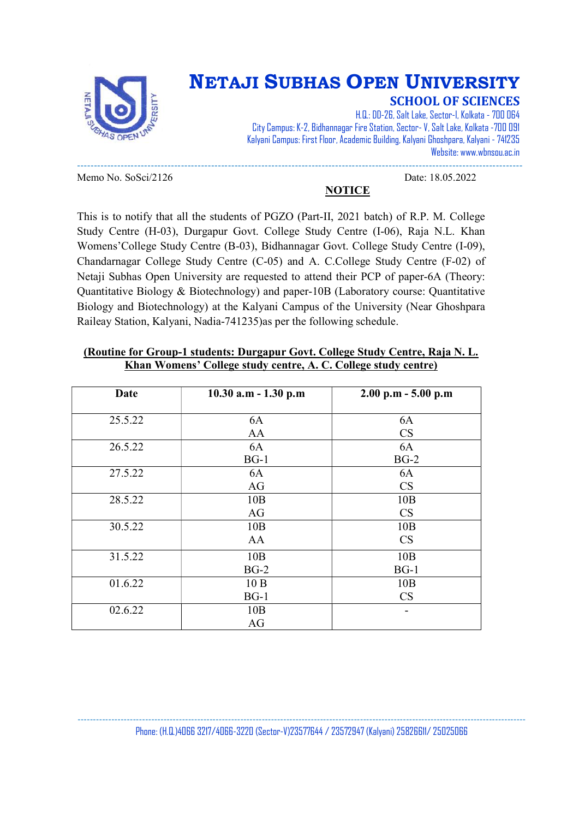

## NETAJI SUBHAS OPEN UNIVERSITY

NOTICE

SCHOOL OF SCIENCES

H.Q.: DD-26, Salt Lake, Sector-I, Kolkata - 700 064 City Campus: K-2, Bidhannagar Fire Station, Sector- V, Salt Lake, Kolkata -700 091 Kalyani Campus: First Floor, Academic Building, Kalyani Ghoshpara, Kalyani - 741235 Website: www.wbnsou.ac.in

Memo No. SoSci/2126 Date: 18.05.2022

This is to notify that all the students of PGZO (Part-II, 2021 batch) of R.P. M. College Study Centre (H-03), Durgapur Govt. College Study Centre (I-06), Raja N.L. Khan Womens'College Study Centre (B-03), Bidhannagar Govt. College Study Centre (I-09), Chandarnagar College Study Centre (C-05) and A. C.College Study Centre (F-02) of Netaji Subhas Open University are requested to attend their PCP of paper-6A (Theory: Quantitative Biology & Biotechnology) and paper-10B (Laboratory course: Quantitative Biology and Biotechnology) at the Kalyani Campus of the University (Near Ghoshpara Raileay Station, Kalyani, Nadia-741235)as per the following schedule.

-------------------------------------------------------------------------------------------------------------------------------------

| <b>Date</b> | $10.30$ a.m - 1.30 p.m | $2.00$ p.m $-5.00$ p.m |
|-------------|------------------------|------------------------|
| 25.5.22     | 6A                     | 6A                     |
|             | AA                     | CS                     |
| 26.5.22     | 6A                     | 6A                     |
|             | $BG-1$                 | $BG-2$                 |
| 27.5.22     | 6A                     | 6A                     |
|             | AG                     | CS                     |
| 28.5.22     | 10B                    | 10B                    |
|             | AG                     | CS                     |
| 30.5.22     | 10B                    | 10B                    |
|             | AA                     | CS                     |
| 31.5.22     | 10B                    | 10B                    |
|             | $BG-2$                 | $BG-1$                 |
| 01.6.22     | 10B                    | 10B                    |
|             | $BG-1$                 | CS                     |
| 02.6.22     | 10B                    |                        |
|             | AG                     |                        |

### (Routine for Group-1 students: Durgapur Govt. College Study Centre, Raja N. L. Khan Womens' College study centre, A. C. College study centre)

-------------------------------------------------------------------------------------------------------------------------------------------------- Phone: (H.Q.)4066 3217/4066-3220 (Sector-V)23577644 / 23572947 (Kalyani) 25826611/ 25025066